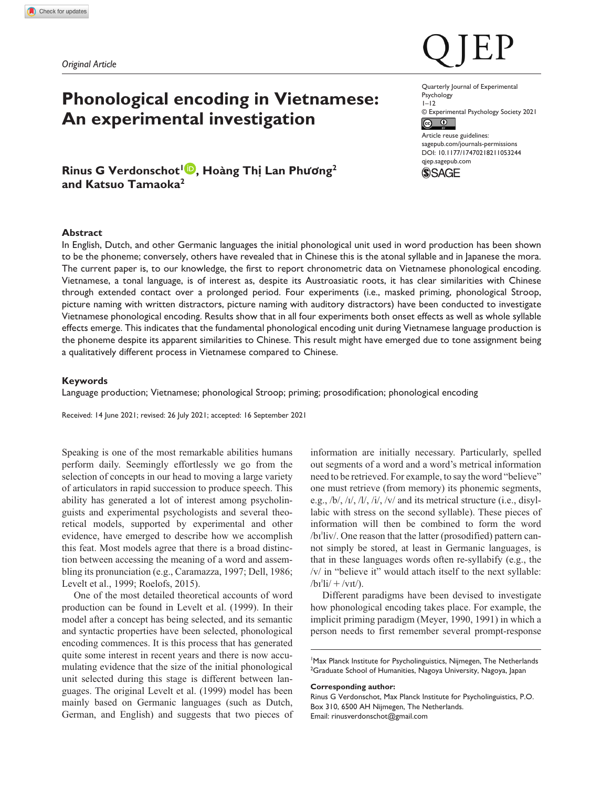*Original Article*

# **Phonological encoding in Vietnamese: An experimental investigation**

**Rinus G Verdonschot1 , Hoàng Thị Lan Phương2 and Katsuo Tamaoka2**

Quarterly Journal of Experimental Psychology  $1 - 12$ © Experimental Psychology Society 2021  $\odot$   $\odot$ Article reuse guidelines: [sagepub.com/journals-permissions](https://uk.sagepub.com/en-gb/journals-permissions) DOI: 10.1177/17470218211053244 [qjep.sagepub.com](http://qjep.sagepub.com)



# **Abstract**

In English, Dutch, and other Germanic languages the initial phonological unit used in word production has been shown to be the phoneme; conversely, others have revealed that in Chinese this is the atonal syllable and in Japanese the mora. The current paper is, to our knowledge, the first to report chronometric data on Vietnamese phonological encoding. Vietnamese, a tonal language, is of interest as, despite its Austroasiatic roots, it has clear similarities with Chinese through extended contact over a prolonged period. Four experiments (i.e., masked priming, phonological Stroop, picture naming with written distractors, picture naming with auditory distractors) have been conducted to investigate Vietnamese phonological encoding. Results show that in all four experiments both onset effects as well as whole syllable effects emerge. This indicates that the fundamental phonological encoding unit during Vietnamese language production is the phoneme despite its apparent similarities to Chinese. This result might have emerged due to tone assignment being a qualitatively different process in Vietnamese compared to Chinese.

### **Keywords**

Language production; Vietnamese; phonological Stroop; priming; prosodification; phonological encoding

Received: 14 June 2021; revised: 26 July 2021; accepted: 16 September 2021

Speaking is one of the most remarkable abilities humans perform daily. Seemingly effortlessly we go from the selection of concepts in our head to moving a large variety of articulators in rapid succession to produce speech. This ability has generated a lot of interest among psycholinguists and experimental psychologists and several theoretical models, supported by experimental and other evidence, have emerged to describe how we accomplish this feat. Most models agree that there is a broad distinction between accessing the meaning of a word and assembling its pronunciation (e.g., Caramazza, 1997; Dell, 1986; Levelt et al., 1999; Roelofs, 2015).

One of the most detailed theoretical accounts of word production can be found in Levelt et al. (1999). In their model after a concept has being selected, and its semantic and syntactic properties have been selected, phonological encoding commences. It is this process that has generated quite some interest in recent years and there is now accumulating evidence that the size of the initial phonological unit selected during this stage is different between languages. The original Levelt et al. (1999) model has been mainly based on Germanic languages (such as Dutch, German, and English) and suggests that two pieces of

information are initially necessary. Particularly, spelled out segments of a word and a word's metrical information need to be retrieved. For example, to say the word "believe" one must retrieve (from memory) its phonemic segments, e.g., /b/, /ɪ/, /l/, /i/, /v/ and its metrical structure (i.e., disyllabic with stress on the second syllable). These pieces of information will then be combined to form the word /bɪˈliv/. One reason that the latter (prosodified) pattern cannot simply be stored, at least in Germanic languages, is that in these languages words often re-syllabify (e.g., the /v/ in "believe it" would attach itself to the next syllable:  $/bI^{\prime}li/+\prime VIt/$ ).

Different paradigms have been devised to investigate how phonological encoding takes place. For example, the implicit priming paradigm (Meyer, 1990, 1991) in which a person needs to first remember several prompt-response

<sup>1</sup>Max Planck Institute for Psycholinguistics, Nijmegen, The Netherlands <sup>2</sup>Graduate School of Humanities, Nagoya University, Nagoya, Japan

#### **Corresponding author:**

Rinus G Verdonschot, Max Planck Institute for Psycholinguistics, P.O. Box 310, 6500 AH Nijmegen, The Netherlands. Email: [rinusverdonschot@gmail.com](mailto:rinusverdonschot@gmail.com)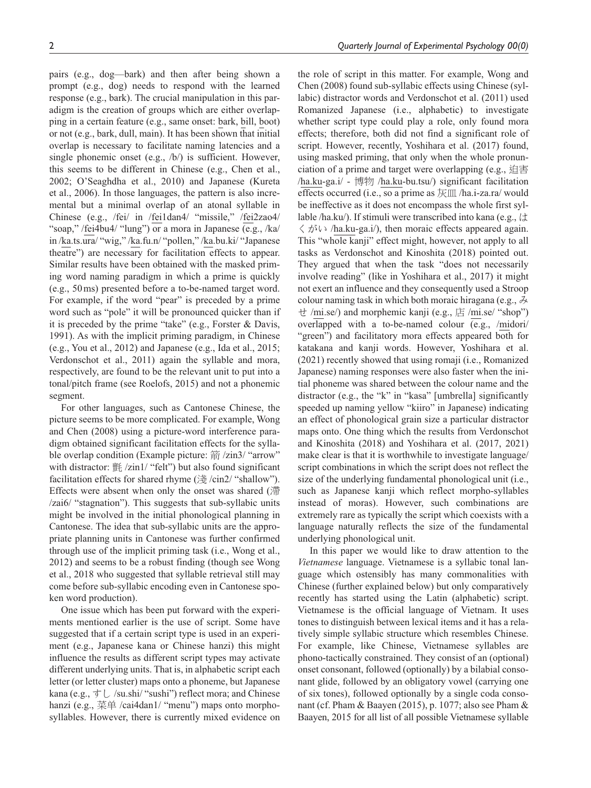pairs (e.g., dog—bark) and then after being shown a prompt (e.g., dog) needs to respond with the learned response (e.g., bark). The crucial manipulation in this paradigm is the creation of groups which are either overlapping in a certain feature (e.g., same onset: bark, bill, boot) or not (e.g., bark, dull, main). It has been shown that initial overlap is necessary to facilitate naming latencies and a single phonemic onset (e.g., /b/) is sufficient. However, this seems to be different in Chinese (e.g., Chen et al., 2002; O'Seaghdha et al., 2010) and Japanese (Kureta et al., 2006). In those languages, the pattern is also incremental but a minimal overlap of an atonal syllable in Chinese (e.g., /fei/ in /fei1dan4/ "missile," /fei2zao4/ "soap," /fei4bu4/ "lung") or a mora in Japanese (e.g., /ka/ in /ka.ts.ura/ "wig," /ka.fu.n/ "pollen," /ka.bu.ki/ "Japanese theatre") are necessary for facilitation effects to appear. Similar results have been obtained with the masked priming word naming paradigm in which a prime is quickly (e.g., 50ms) presented before a to-be-named target word. For example, if the word "pear" is preceded by a prime word such as "pole" it will be pronounced quicker than if it is preceded by the prime "take" (e.g., Forster & Davis, 1991). As with the implicit priming paradigm, in Chinese (e.g., You et al., 2012) and Japanese (e.g., Ida et al., 2015; Verdonschot et al., 2011) again the syllable and mora, respectively, are found to be the relevant unit to put into a tonal/pitch frame (see Roelofs, 2015) and not a phonemic segment.

For other languages, such as Cantonese Chinese, the picture seems to be more complicated. For example, Wong and Chen (2008) using a picture-word interference paradigm obtained significant facilitation effects for the syllable overlap condition (Example picture: 箭 /zin3/ "arrow" with distractor: 氈 /zin1/ "felt") but also found significant facilitation effects for shared rhyme (淺 /cin2/ "shallow"). Effects were absent when only the onset was shared (滯 /zai6/ "stagnation"). This suggests that sub-syllabic units might be involved in the initial phonological planning in Cantonese. The idea that sub-syllabic units are the appropriate planning units in Cantonese was further confirmed through use of the implicit priming task (i.e., Wong et al., 2012) and seems to be a robust finding (though see Wong et al., 2018 who suggested that syllable retrieval still may come before sub-syllabic encoding even in Cantonese spoken word production).

One issue which has been put forward with the experiments mentioned earlier is the use of script. Some have suggested that if a certain script type is used in an experiment (e.g., Japanese kana or Chinese hanzi) this might influence the results as different script types may activate different underlying units. That is, in alphabetic script each letter (or letter cluster) maps onto a phoneme, but Japanese kana (e.g.,  $\overline{\tau}$   $\cup$  /su.shi/ "sushi") reflect mora; and Chinese hanzi (e.g., 菜单 /cai4dan1/ "menu") maps onto morphosyllables. However, there is currently mixed evidence on the role of script in this matter. For example, Wong and Chen (2008) found sub-syllabic effects using Chinese (syllabic) distractor words and Verdonschot et al. (2011) used Romanized Japanese (i.e., alphabetic) to investigate whether script type could play a role, only found mora effects; therefore, both did not find a significant role of script. However, recently, Yoshihara et al. (2017) found, using masked priming, that only when the whole pronunciation of a prime and target were overlapping (e.g., 迫害 /ha.ku-ga.i/ - 博物 /ha.ku-bu.tsu/) significant facilitation effects occurred (i.e., so a prime as  $\overline{\mathcal{K}}$  III /ha.i-za.ra/ would be ineffective as it does not encompass the whole first syllable /ha.ku/). If stimuli were transcribed into kana (e.g., は くがい /ha.ku-ga.i/), then moraic effects appeared again. This "whole kanji" effect might, however, not apply to all tasks as Verdonschot and Kinoshita (2018) pointed out. They argued that when the task "does not necessarily involve reading" (like in Yoshihara et al., 2017) it might not exert an influence and they consequently used a Stroop colour naming task in which both moraic hiragana (e.g.,  $\lambda$ ) せ /mi.se/) and morphemic kanji (e.g., 店 /mi.se/ "shop") overlapped with a to-be-named colour (e.g., /midori/ "green") and facilitatory mora effects appeared both for katakana and kanji words. However, Yoshihara et al. (2021) recently showed that using romaji (i.e., Romanized Japanese) naming responses were also faster when the initial phoneme was shared between the colour name and the distractor (e.g., the "k" in "kasa" [umbrella] significantly speeded up naming yellow "kiiro" in Japanese) indicating an effect of phonological grain size a particular distractor maps onto. One thing which the results from Verdonschot and Kinoshita (2018) and Yoshihara et al. (2017, 2021) make clear is that it is worthwhile to investigate language/ script combinations in which the script does not reflect the size of the underlying fundamental phonological unit (i.e., such as Japanese kanji which reflect morpho-syllables instead of moras). However, such combinations are extremely rare as typically the script which coexists with a language naturally reflects the size of the fundamental underlying phonological unit.

In this paper we would like to draw attention to the *Vietnamese* language. Vietnamese is a syllabic tonal language which ostensibly has many commonalities with Chinese (further explained below) but only comparatively recently has started using the Latin (alphabetic) script. Vietnamese is the official language of Vietnam. It uses tones to distinguish between lexical items and it has a relatively simple syllabic structure which resembles Chinese. For example, like Chinese, Vietnamese syllables are phono-tactically constrained. They consist of an (optional) onset consonant, followed (optionally) by a bilabial consonant glide, followed by an obligatory vowel (carrying one of six tones), followed optionally by a single coda consonant (cf. Pham & Baayen (2015), p. 1077; also see Pham & Baayen, 2015 for all list of all possible Vietnamese syllable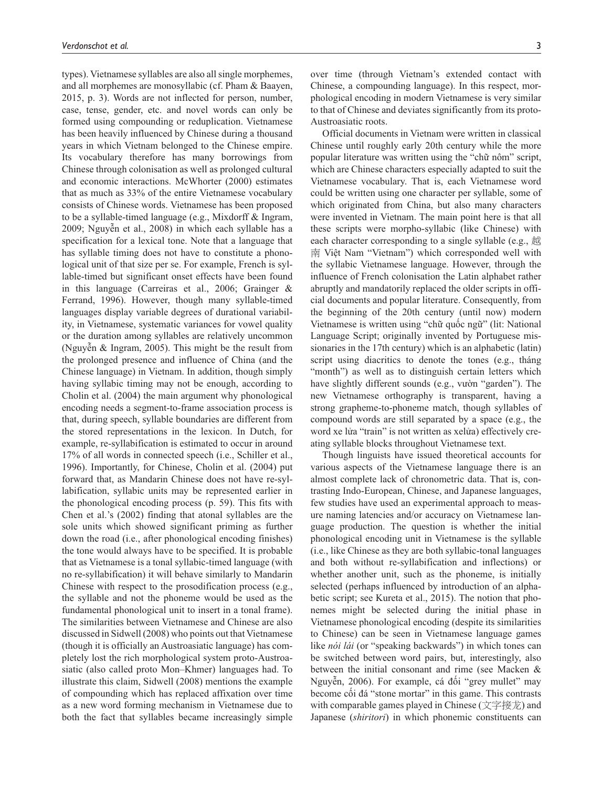types). Vietnamese syllables are also all single morphemes, and all morphemes are monosyllabic (cf. Pham & Baayen, 2015, p. 3). Words are not inflected for person, number, case, tense, gender, etc. and novel words can only be formed using compounding or reduplication. Vietnamese has been heavily influenced by Chinese during a thousand years in which Vietnam belonged to the Chinese empire. Its vocabulary therefore has many borrowings from Chinese through colonisation as well as prolonged cultural and economic interactions. McWhorter (2000) estimates that as much as 33% of the entire Vietnamese vocabulary consists of Chinese words. Vietnamese has been proposed to be a syllable-timed language (e.g., Mixdorff & Ingram, 2009; Nguyễn et al., 2008) in which each syllable has a specification for a lexical tone. Note that a language that has syllable timing does not have to constitute a phonological unit of that size per se. For example, French is syllable-timed but significant onset effects have been found in this language (Carreiras et al., 2006; Grainger & Ferrand, 1996). However, though many syllable-timed languages display variable degrees of durational variability, in Vietnamese, systematic variances for vowel quality or the duration among syllables are relatively uncommon (Nguyễn & Ingram, 2005). This might be the result from the prolonged presence and influence of China (and the Chinese language) in Vietnam. In addition, though simply having syllabic timing may not be enough, according to Cholin et al. (2004) the main argument why phonological encoding needs a segment-to-frame association process is that, during speech, syllable boundaries are different from the stored representations in the lexicon. In Dutch, for example, re-syllabification is estimated to occur in around 17% of all words in connected speech (i.e., Schiller et al., 1996). Importantly, for Chinese, Cholin et al. (2004) put forward that, as Mandarin Chinese does not have re-syllabification, syllabic units may be represented earlier in the phonological encoding process (p. 59). This fits with Chen et al.'s (2002) finding that atonal syllables are the sole units which showed significant priming as further down the road (i.e., after phonological encoding finishes) the tone would always have to be specified. It is probable that as Vietnamese is a tonal syllabic-timed language (with no re-syllabification) it will behave similarly to Mandarin Chinese with respect to the prosodification process (e.g., the syllable and not the phoneme would be used as the fundamental phonological unit to insert in a tonal frame). The similarities between Vietnamese and Chinese are also discussed in Sidwell (2008) who points out that Vietnamese (though it is officially an Austroasiatic language) has completely lost the rich morphological system proto-Austroasiatic (also called proto Mon–Khmer) languages had. To illustrate this claim, Sidwell (2008) mentions the example of compounding which has replaced affixation over time as a new word forming mechanism in Vietnamese due to both the fact that syllables became increasingly simple over time (through Vietnam's extended contact with Chinese, a compounding language). In this respect, morphological encoding in modern Vietnamese is very similar to that of Chinese and deviates significantly from its proto-Austroasiatic roots.

Official documents in Vietnam were written in classical Chinese until roughly early 20th century while the more popular literature was written using the "chữ nôm" script, which are Chinese characters especially adapted to suit the Vietnamese vocabulary. That is, each Vietnamese word could be written using one character per syllable, some of which originated from China, but also many characters were invented in Vietnam. The main point here is that all these scripts were morpho-syllabic (like Chinese) with each character corresponding to a single syllable (e.g., 越 南 Việt Nam "Vietnam") which corresponded well with the syllabic Vietnamese language. However, through the influence of French colonisation the Latin alphabet rather abruptly and mandatorily replaced the older scripts in official documents and popular literature. Consequently, from the beginning of the 20th century (until now) modern Vietnamese is written using "chữ quốc ngữ" (lit: National Language Script; originally invented by Portuguese missionaries in the 17th century) which is an alphabetic (latin) script using diacritics to denote the tones (e.g., tháng "month") as well as to distinguish certain letters which have slightly different sounds (e.g., vườn "garden"). The new Vietnamese orthography is transparent, having a strong grapheme-to-phoneme match, though syllables of compound words are still separated by a space (e.g., the word xe lửa "train" is not written as xelửa) effectively creating syllable blocks throughout Vietnamese text.

Though linguists have issued theoretical accounts for various aspects of the Vietnamese language there is an almost complete lack of chronometric data. That is, contrasting Indo-European, Chinese, and Japanese languages, few studies have used an experimental approach to measure naming latencies and/or accuracy on Vietnamese language production. The question is whether the initial phonological encoding unit in Vietnamese is the syllable (i.e., like Chinese as they are both syllabic-tonal languages and both without re-syllabification and inflections) or whether another unit, such as the phoneme, is initially selected (perhaps influenced by introduction of an alphabetic script; see Kureta et al., 2015). The notion that phonemes might be selected during the initial phase in Vietnamese phonological encoding (despite its similarities to Chinese) can be seen in Vietnamese language games like *nói lái* (or "speaking backwards") in which tones can be switched between word pairs, but, interestingly, also between the initial consonant and rime (see Macken & Nguyễn, 2006). For example, cá đối "grey mullet" may become cối đá "stone mortar" in this game. This contrasts with comparable games played in Chinese (文字接龙) and Japanese (*shiritori*) in which phonemic constituents can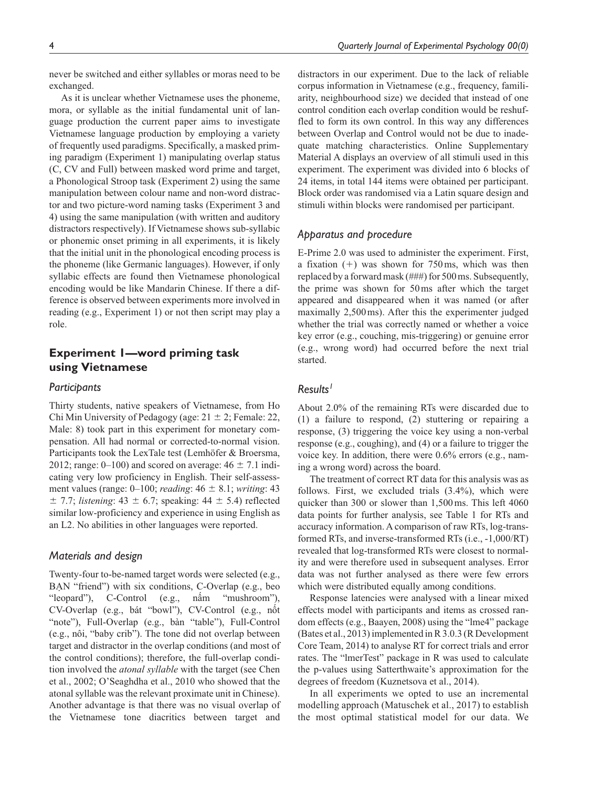never be switched and either syllables or moras need to be exchanged.

As it is unclear whether Vietnamese uses the phoneme, mora, or syllable as the initial fundamental unit of language production the current paper aims to investigate Vietnamese language production by employing a variety of frequently used paradigms. Specifically, a masked priming paradigm (Experiment 1) manipulating overlap status (C, CV and Full) between masked word prime and target, a Phonological Stroop task (Experiment 2) using the same manipulation between colour name and non-word distractor and two picture-word naming tasks (Experiment 3 and 4) using the same manipulation (with written and auditory distractors respectively). If Vietnamese shows sub-syllabic or phonemic onset priming in all experiments, it is likely that the initial unit in the phonological encoding process is the phoneme (like Germanic languages). However, if only syllabic effects are found then Vietnamese phonological encoding would be like Mandarin Chinese. If there a difference is observed between experiments more involved in reading (e.g., Experiment 1) or not then script may play a role.

# **Experiment 1—word priming task using Vietnamese**

# *Participants*

Thirty students, native speakers of Vietnamese, from Ho Chi Min University of Pedagogy (age:  $21 \pm 2$ ; Female: 22, Male: 8) took part in this experiment for monetary compensation. All had normal or corrected-to-normal vision. Participants took the LexTale test (Lemhöfer & Broersma, 2012; range: 0–100) and scored on average:  $46 \pm 7.1$  indicating very low proficiency in English. Their self-assessment values (range: 0–100; *reading*: 46 ± 8.1; *writing*: 43  $\pm$  7.7; *listening*: 43  $\pm$  6.7; speaking: 44  $\pm$  5.4) reflected similar low-proficiency and experience in using English as an L2. No abilities in other languages were reported.

#### *Materials and design*

Twenty-four to-be-named target words were selected (e.g., BẠN "friend") with six conditions, C-Overlap (e.g., beo "leopard"), C-Control (e.g., nấm "mushroom"), CV-Overlap (e.g., bát "bowl"), CV-Control (e.g., nốt "note"), Full-Overlap (e.g., bàn "table"), Full-Control (e.g., nôi, "baby crib"). The tone did not overlap between target and distractor in the overlap conditions (and most of the control conditions); therefore, the full-overlap condition involved the *atonal syllable* with the target (see Chen et al., 2002; O'Seaghdha et al., 2010 who showed that the atonal syllable was the relevant proximate unit in Chinese). Another advantage is that there was no visual overlap of the Vietnamese tone diacritics between target and distractors in our experiment. Due to the lack of reliable corpus information in Vietnamese (e.g., frequency, familiarity, neighbourhood size) we decided that instead of one control condition each overlap condition would be reshuffled to form its own control. In this way any differences between Overlap and Control would not be due to inadequate matching characteristics. Online Supplementary Material A displays an overview of all stimuli used in this experiment. The experiment was divided into 6 blocks of 24 items, in total 144 items were obtained per participant. Block order was randomised via a Latin square design and stimuli within blocks were randomised per participant.

# *Apparatus and procedure*

E-Prime 2.0 was used to administer the experiment. First, a fixation  $(+)$  was shown for 750ms, which was then replaced by a forward mask (###) for 500ms. Subsequently, the prime was shown for 50ms after which the target appeared and disappeared when it was named (or after maximally 2,500ms). After this the experimenter judged whether the trial was correctly named or whether a voice key error (e.g., couching, mis-triggering) or genuine error (e.g., wrong word) had occurred before the next trial started.

# *Results1*

About 2.0% of the remaining RTs were discarded due to (1) a failure to respond, (2) stuttering or repairing a response, (3) triggering the voice key using a non-verbal response (e.g., coughing), and (4) or a failure to trigger the voice key. In addition, there were 0.6% errors (e.g., naming a wrong word) across the board.

The treatment of correct RT data for this analysis was as follows. First, we excluded trials (3.4%), which were quicker than 300 or slower than 1,500ms. This left 4060 data points for further analysis, see Table 1 for RTs and accuracy information. A comparison of raw RTs, log-transformed RTs, and inverse-transformed RTs (i.e., -1,000/RT) revealed that log-transformed RTs were closest to normality and were therefore used in subsequent analyses. Error data was not further analysed as there were few errors which were distributed equally among conditions.

Response latencies were analysed with a linear mixed effects model with participants and items as crossed random effects (e.g., Baayen, 2008) using the "lme4" package (Bates et al., 2013) implemented in R 3.0.3 (R Development Core Team, 2014) to analyse RT for correct trials and error rates. The "lmerTest" package in R was used to calculate the p-values using Satterthwaite's approximation for the degrees of freedom (Kuznetsova et al., 2014).

In all experiments we opted to use an incremental modelling approach (Matuschek et al., 2017) to establish the most optimal statistical model for our data. We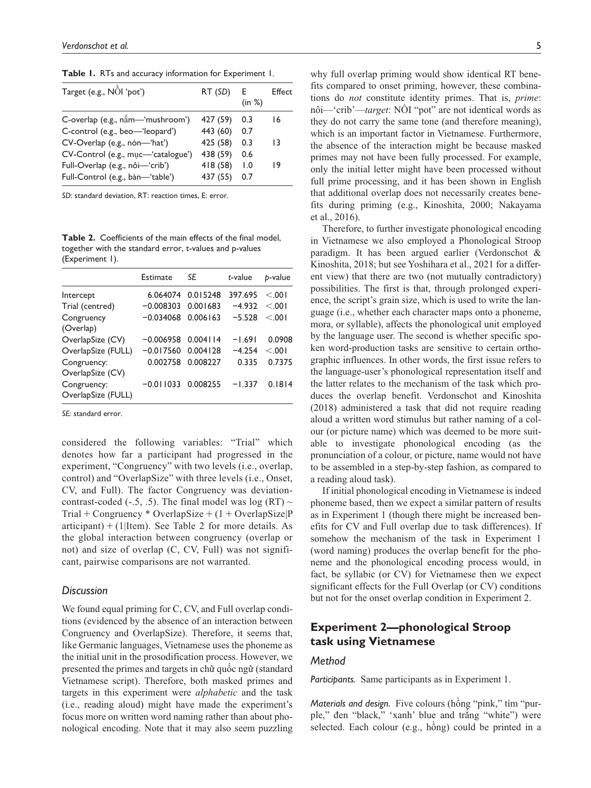**Table 1.** RTs and accuracy information for Experiment 1.

| Target (e.g., NOI 'pot')           | RT (SD)  | $-E$<br>(in %) | Effect |
|------------------------------------|----------|----------------|--------|
| C-overlap (e.g., nấm-'mushroom')   | 427 (59) | 0.3            | 16     |
| C-control (e.g., beo-'leopard')    | 443 (60) | 0.7            |        |
| CV-Overlap (e.g., nón-'hat')       | 425 (58) | 0.3            | 13     |
| CV-Control (e.g., muc-'catalogue') | 438 (59) | 0.6            |        |
| Full-Overlap (e.g., nôi-'crib')    | 418 (58) | 1.0            | 19     |
| Full-Control (e.g., bàn-'table')   | 437 (55) | 0.7            |        |

*SD*: standard deviation, RT: reaction times, E: error.

**Table 2.** Coefficients of the main effects of the final model, together with the standard error, t-values and p-values (Experiment 1).

|                                   | Estimate    | SE       | t-value  | b-value |
|-----------------------------------|-------------|----------|----------|---------|
| Intercept                         | 6.064074    | 0.015248 | 397.695  | < 0.01  |
| Trial (centred)                   | $-0.008303$ | 0.001683 | $-4.932$ | < 001   |
| Congruency<br>(Overlap)           | $-0.034068$ | 0.006163 | $-5.528$ | < 001   |
| OverlapSize (CV)                  | $-0.006958$ | 0.004114 | $-1.691$ | 0.0908  |
| OverlapSize (FULL)                | $-0.017560$ | 0.004128 | $-4.254$ | < 001   |
| Congruency:<br>OverlapSize (CV)   | 0.002758    | 0.008227 | 0.335    | 0.7375  |
| Congruency:<br>OverlapSize (FULL) | $-0.011033$ | 0.008255 | $-1.337$ | 0.1814  |

*SE*: standard error.

considered the following variables: "Trial" which denotes how far a participant had progressed in the experiment, "Congruency" with two levels (i.e., overlap, control) and "OverlapSize" with three levels (i.e., Onset, CV, and Full). The factor Congruency was deviationcontrast-coded (-.5, .5). The final model was log (RT)  $\sim$  $Trial + Congruency * OverlapSize + (1 + OverlapSize)P$ articipant) + (1|Item). See Table 2 for more details. As the global interaction between congruency (overlap or not) and size of overlap (C, CV, Full) was not significant, pairwise comparisons are not warranted.

#### *Discussion*

We found equal priming for C, CV, and Full overlap conditions (evidenced by the absence of an interaction between Congruency and OverlapSize). Therefore, it seems that, like Germanic languages, Vietnamese uses the phoneme as the initial unit in the prosodification process. However, we presented the primes and targets in chữ quốc ngữ (standard Vietnamese script). Therefore, both masked primes and targets in this experiment were *alphabetic* and the task (i.e., reading aloud) might have made the experiment's focus more on written word naming rather than about phonological encoding. Note that it may also seem puzzling why full overlap priming would show identical RT benefits compared to onset priming, however, these combinations do *not* constitute identity primes. That is, *prime*: nôi—'crib'—*target*: NỒI "pot" are not identical words as they do not carry the same tone (and therefore meaning), which is an important factor in Vietnamese. Furthermore, the absence of the interaction might be because masked primes may not have been fully processed. For example, only the initial letter might have been processed without full prime processing, and it has been shown in English that additional overlap does not necessarily creates benefits during priming (e.g., Kinoshita, 2000; Nakayama et al., 2016).

Therefore, to further investigate phonological encoding in Vietnamese we also employed a Phonological Stroop paradigm. It has been argued earlier (Verdonschot & Kinoshita, 2018; but see Yoshihara et al., 2021 for a different view) that there are two (not mutually contradictory) possibilities. The first is that, through prolonged experience, the script's grain size, which is used to write the language (i.e., whether each character maps onto a phoneme, mora, or syllable), affects the phonological unit employed by the language user. The second is whether specific spoken word-production tasks are sensitive to certain orthographic influences. In other words, the first issue refers to the language-user's phonological representation itself and the latter relates to the mechanism of the task which produces the overlap benefit. Verdonschot and Kinoshita (2018) administered a task that did not require reading aloud a written word stimulus but rather naming of a colour (or picture name) which was deemed to be more suitable to investigate phonological encoding (as the pronunciation of a colour, or picture, name would not have to be assembled in a step-by-step fashion, as compared to a reading aloud task).

If initial phonological encoding in Vietnamese is indeed phoneme based, then we expect a similar pattern of results as in Experiment 1 (though there might be increased benefits for CV and Full overlap due to task differences). If somehow the mechanism of the task in Experiment 1 (word naming) produces the overlap benefit for the phoneme and the phonological encoding process would, in fact, be syllabic (or CV) for Vietnamese then we expect significant effects for the Full Overlap (or CV) conditions but not for the onset overlap condition in Experiment 2.

# **Experiment 2—phonological Stroop task using Vietnamese**

## *Method*

*Participants.* Same participants as in Experiment 1.

*Materials and design.* Five colours (hồng "pink," tím "purple," đen "black," 'xanh' blue and trắng "white") were selected. Each colour (e.g., hồng) could be printed in a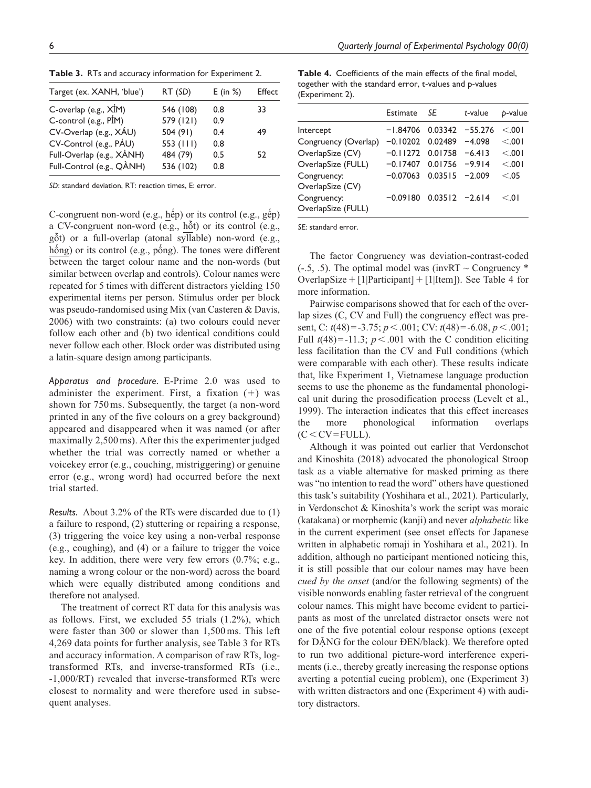| Target (ex. XANH, 'blue') | RT (SD)     | $E$ (in %) | Effect |
|---------------------------|-------------|------------|--------|
| C-overlap (e.g., XIM)     | 546 (108)   | 0.8        | 33     |
| C-control (e.g., PIM)     | 579 (121)   | 0.9        |        |
| CV-Overlap (e.g., XÁU)    | 504 (91)    | 0.4        | 49     |
| CV-Control (e.g., PÁU)    | 553 $(111)$ | 0.8        |        |
| Full-Overlap (e.g., XÀNH) | 484 (79)    | 0.5        | 52     |
| Full-Control (e.g., QANH) | 536 (102)   | 0.8        |        |

**Table 3.** RTs and accuracy information for Experiment 2.

*SD*: standard deviation, RT: reaction times, E: error.

C-congruent non-word (e.g., hếp) or its control (e.g., gếp) a CV-congruent non-word (e.g., hỗt) or its control (e.g., gỗt) or a full-overlap (atonal syllable) non-word (e.g., hống) or its control (e.g., pống). The tones were different between the target colour name and the non-words (but similar between overlap and controls). Colour names were repeated for 5 times with different distractors yielding 150 experimental items per person. Stimulus order per block was pseudo-randomised using Mix (van Casteren & Davis, 2006) with two constraints: (a) two colours could never follow each other and (b) two identical conditions could never follow each other. Block order was distributed using a latin-square design among participants.

*Apparatus and procedure.* E-Prime 2.0 was used to administer the experiment. First, a fixation  $(+)$  was shown for 750ms. Subsequently, the target (a non-word printed in any of the five colours on a grey background) appeared and disappeared when it was named (or after maximally 2,500ms). After this the experimenter judged whether the trial was correctly named or whether a voicekey error (e.g., couching, mistriggering) or genuine error (e.g., wrong word) had occurred before the next trial started.

*Results.* About 3.2% of the RTs were discarded due to (1) a failure to respond, (2) stuttering or repairing a response, (3) triggering the voice key using a non-verbal response (e.g., coughing), and (4) or a failure to trigger the voice key. In addition, there were very few errors (0.7%; e.g., naming a wrong colour or the non-word) across the board which were equally distributed among conditions and therefore not analysed.

The treatment of correct RT data for this analysis was as follows. First, we excluded 55 trials (1.2%), which were faster than 300 or slower than 1,500ms. This left 4,269 data points for further analysis, see Table 3 for RTs and accuracy information. A comparison of raw RTs, logtransformed RTs, and inverse-transformed RTs (i.e., -1,000/RT) revealed that inverse-transformed RTs were closest to normality and were therefore used in subsequent analyses.

**Table 4.** Coefficients of the main effects of the final model, together with the standard error, t-values and p-values (Experiment 2).

|                                   | Estimate                    | SF                | t-value  | b-value |
|-----------------------------------|-----------------------------|-------------------|----------|---------|
| Intercept                         | $-1.84706$                  | $0.03342 -55.276$ |          | < 001   |
| Congruency (Overlap)              | $-0.10202$ 0.02489 $-4.098$ |                   |          | < 001   |
| OverlapSize (CV)                  | $-0.11272$ 0.01758 $-6.413$ |                   |          | < 0.01  |
| OverlapSize (FULL)                | $-0.17407$                  | 0.01756           | $-9.914$ | < 0.01  |
| Congruency:<br>OverlapSize (CV)   | $-0.07063$                  | $0.03515 - 2.009$ |          | < 0.05  |
| Congruency:<br>OverlapSize (FULL) | $-0.09180$                  | $0.03512 - 2.614$ |          | $<$ 01  |

*SE*: standard error.

The factor Congruency was deviation-contrast-coded  $(-.5, .5)$ . The optimal model was (invRT ~ Congruency \* OverlapSize +  $[1]$ Participant $]+[1]$ Item]). See Table 4 for more information.

Pairwise comparisons showed that for each of the overlap sizes (C, CV and Full) the congruency effect was present, C: *t*(48)=-3.75; *p*<.001; CV: *t*(48)=-6.08, *p*<.001; Full  $t(48) = -11.3$ ;  $p < .001$  with the C condition eliciting less facilitation than the CV and Full conditions (which were comparable with each other). These results indicate that, like Experiment 1, Vietnamese language production seems to use the phoneme as the fundamental phonological unit during the prosodification process (Levelt et al., 1999). The interaction indicates that this effect increases the more phonological information overlaps  $(C < CV = FULL)$ .

Although it was pointed out earlier that Verdonschot and Kinoshita (2018) advocated the phonological Stroop task as a viable alternative for masked priming as there was "no intention to read the word" others have questioned this task's suitability (Yoshihara et al., 2021). Particularly, in Verdonschot & Kinoshita's work the script was moraic (katakana) or morphemic (kanji) and never *alphabetic* like in the current experiment (see onset effects for Japanese written in alphabetic romaji in Yoshihara et al., 2021). In addition, although no participant mentioned noticing this, it is still possible that our colour names may have been *cued by the onset* (and/or the following segments) of the visible nonwords enabling faster retrieval of the congruent colour names. This might have become evident to participants as most of the unrelated distractor onsets were not one of the five potential colour response options (except for DẶNG for the colour ĐEN/black). We therefore opted to run two additional picture-word interference experiments (i.e., thereby greatly increasing the response options averting a potential cueing problem), one (Experiment 3) with written distractors and one (Experiment 4) with auditory distractors.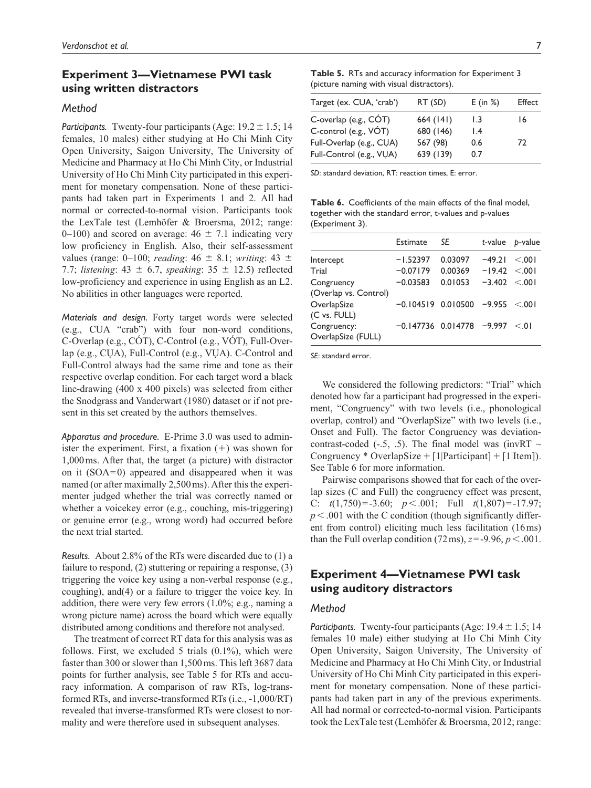# **Experiment 3—Vietnamese PWI task using written distractors**

## *Method*

*Participants.* Twenty-four participants (Age:  $19.2 \pm 1.5$ ; 14 females, 10 males) either studying at Ho Chi Minh City Open University, Saigon University, The University of Medicine and Pharmacy at Ho Chi Minh City, or Industrial University of Ho Chi Minh City participated in this experiment for monetary compensation. None of these participants had taken part in Experiments 1 and 2. All had normal or corrected-to-normal vision. Participants took the LexTale test (Lemhöfer & Broersma, 2012; range: 0–100) and scored on average:  $46 \pm 7.1$  indicating very low proficiency in English. Also, their self-assessment values (range: 0–100; *reading*: 46 ± 8.1; *writing*: 43 ± 7.7; *listening*: 43 ± 6.7, *speaking*: 35 ± 12.5) reflected low-proficiency and experience in using English as an L2. No abilities in other languages were reported.

*Materials and design.* Forty target words were selected (e.g., CUA "crab") with four non-word conditions, C-Overlap (e.g., CÓT), C-Control (e.g., VÓT), Full-Overlap (e.g., CỤA), Full-Control (e.g., VỤA). C-Control and Full-Control always had the same rime and tone as their respective overlap condition. For each target word a black line-drawing (400 x 400 pixels) was selected from either the Snodgrass and Vanderwart (1980) dataset or if not present in this set created by the authors themselves.

*Apparatus and procedure.* E-Prime 3.0 was used to administer the experiment. First, a fixation  $(+)$  was shown for 1,000ms. After that, the target (a picture) with distractor on it (SOA=0) appeared and disappeared when it was named (or after maximally 2,500ms). After this the experimenter judged whether the trial was correctly named or whether a voicekey error (e.g., couching, mis-triggering) or genuine error (e.g., wrong word) had occurred before the next trial started.

*Results.* About 2.8% of the RTs were discarded due to (1) a failure to respond, (2) stuttering or repairing a response, (3) triggering the voice key using a non-verbal response (e.g., coughing), and(4) or a failure to trigger the voice key. In addition, there were very few errors (1.0%; e.g., naming a wrong picture name) across the board which were equally distributed among conditions and therefore not analysed.

The treatment of correct RT data for this analysis was as follows. First, we excluded 5 trials  $(0.1\%)$ , which were faster than 300 or slower than 1,500ms. This left 3687 data points for further analysis, see Table 5 for RTs and accuracy information. A comparison of raw RTs, log-transformed RTs, and inverse-transformed RTs (i.e., -1,000/RT) revealed that inverse-transformed RTs were closest to normality and were therefore used in subsequent analyses.

**Table 5.** RTs and accuracy information for Experiment 3 (picture naming with visual distractors).

| Target (ex. CUA, 'crab') | RT (SD)   | $E$ (in %)      | Effect |
|--------------------------|-----------|-----------------|--------|
| C-overlap (e.g., $COT$ ) | 664 (141) | 1.3             | 16     |
| C-control (e.g., VÓT)    | 680 (146) | $\mathsf{I}$ .4 |        |
| Full-Overlap (e.g., CUA) | 567 (98)  | 0.6             | 72     |
| Full-Control (e.g., VUA) | 639 (139) | 0.7             |        |

*SD*: standard deviation, RT: reaction times, E: error.

**Table 6.** Coefficients of the main effects of the final model, together with the standard error, t-values and p-values (Experiment 3).

|                                   | Estimate                      | SE      |                    | t-value <i>b</i> -value |
|-----------------------------------|-------------------------------|---------|--------------------|-------------------------|
| Intercept                         | $-1.52397$                    | 0.03097 | $-49.21$           | < 001                   |
| Trial                             | $-0.07179$                    | 0.00369 | $-19.42 \le 001$   |                         |
| Congruency                        | $-0.03583$                    | 0.01053 | $-3.402 \le 0.001$ |                         |
| (Overlap vs. Control)             |                               |         |                    |                         |
| OverlapSize<br>(C vs. FULL)       | $-0.104519$ $0.010500$        |         | $-9.955$           | < 001                   |
| Congruency:<br>OverlapSize (FULL) | $-0.147736$ 0.014778 $-9.997$ |         |                    | $<$ 0 l                 |

*SE*: standard error.

We considered the following predictors: "Trial" which denoted how far a participant had progressed in the experiment, "Congruency" with two levels (i.e., phonological overlap, control) and "OverlapSize" with two levels (i.e., Onset and Full). The factor Congruency was deviationcontrast-coded (-.5, .5). The final model was (invRT  $\sim$ Congruency \* OverlapSize +  $[1]$ Participant $]+ [1]$ [tem]). See Table 6 for more information.

Pairwise comparisons showed that for each of the overlap sizes (C and Full) the congruency effect was present, C: *t*(1,750)=-3.60; *p*<.001; Full *t*(1,807)=-17.97;  $p < .001$  with the C condition (though significantly different from control) eliciting much less facilitation (16ms) than the Full overlap condition  $(72 \text{ ms})$ ,  $z = -9.96$ ,  $p < .001$ .

# **Experiment 4—Vietnamese PWI task using auditory distractors**

## *Method*

*Participants.* Twenty-four participants (Age:  $19.4 \pm 1.5$ ; 14 females 10 male) either studying at Ho Chi Minh City Open University, Saigon University, The University of Medicine and Pharmacy at Ho Chi Minh City, or Industrial University of Ho Chi Minh City participated in this experiment for monetary compensation. None of these participants had taken part in any of the previous experiments. All had normal or corrected-to-normal vision. Participants took the LexTale test (Lemhöfer & Broersma, 2012; range: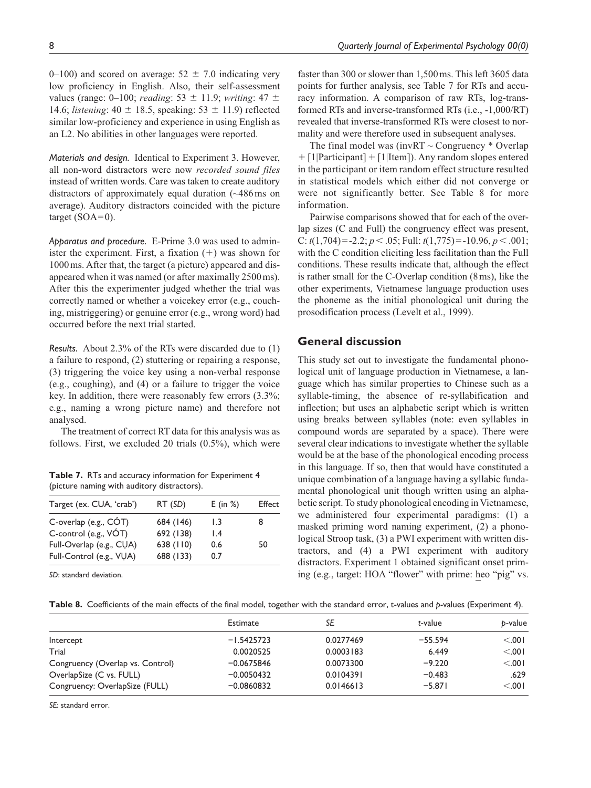0–100) and scored on average:  $52 \pm 7.0$  indicating very low proficiency in English. Also, their self-assessment values (range: 0–100; *reading*: 53 ± 11.9; *writing*: 47 ± 14.6; *listening*:  $40 \pm 18.5$ , speaking:  $53 \pm 11.9$ ) reflected similar low-proficiency and experience in using English as an L2. No abilities in other languages were reported.

*Materials and design.* Identical to Experiment 3. However, all non-word distractors were now *recorded sound files* instead of written words. Care was taken to create auditory distractors of approximately equal duration (~486ms on average). Auditory distractors coincided with the picture target  $(SOA=0)$ .

*Apparatus and procedure.* E-Prime 3.0 was used to administer the experiment. First, a fixation  $(+)$  was shown for 1000ms. After that, the target (a picture) appeared and disappeared when it was named (or after maximally 2500ms). After this the experimenter judged whether the trial was correctly named or whether a voicekey error (e.g., couching, mistriggering) or genuine error (e.g., wrong word) had occurred before the next trial started.

*Results.* About 2.3% of the RTs were discarded due to (1) a failure to respond, (2) stuttering or repairing a response, (3) triggering the voice key using a non-verbal response (e.g., coughing), and (4) or a failure to trigger the voice key. In addition, there were reasonably few errors (3.3%; e.g., naming a wrong picture name) and therefore not analysed.

The treatment of correct RT data for this analysis was as follows. First, we excluded 20 trials (0.5%), which were

**Table 7.** RTs and accuracy information for Experiment 4 (picture naming with auditory distractors).

| Target (ex. CUA, 'crab') | RT (SD)   | $E$ (in %)      | Effect |
|--------------------------|-----------|-----------------|--------|
| C-overlap (e.g., CÓT)    | 684 (146) | 1.3             | 8      |
| C-control (e.g., VÓT)    | 692 (138) | $\mathsf{I}$ .4 |        |
| Full-Overlap (e.g., CUA) | 638 (110) | 0.6             | 50     |
| Full-Control (e.g., VUA) | 688 (133) | 0.7             |        |

*SD*: standard deviation.

faster than 300 or slower than 1,500ms. This left 3605 data points for further analysis, see Table 7 for RTs and accuracy information. A comparison of raw RTs, log-transformed RTs and inverse-transformed RTs (i.e., -1,000/RT) revealed that inverse-transformed RTs were closest to normality and were therefore used in subsequent analyses.

The final model was (invRT  $\sim$  Congruency  $*$  Overlap + [1|Participant] + [1|Item]). Any random slopes entered in the participant or item random effect structure resulted in statistical models which either did not converge or were not significantly better. See Table 8 for more information.

Pairwise comparisons showed that for each of the overlap sizes (C and Full) the congruency effect was present, C: *t*(1,704)=-2.2; *p*<.05; Full: *t*(1,775)=-10.96, *p*<.001; with the C condition eliciting less facilitation than the Full conditions. These results indicate that, although the effect is rather small for the C-Overlap condition (8ms), like the other experiments, Vietnamese language production uses the phoneme as the initial phonological unit during the prosodification process (Levelt et al., 1999).

# **General discussion**

This study set out to investigate the fundamental phonological unit of language production in Vietnamese, a language which has similar properties to Chinese such as a syllable-timing, the absence of re-syllabification and inflection; but uses an alphabetic script which is written using breaks between syllables (note: even syllables in compound words are separated by a space). There were several clear indications to investigate whether the syllable would be at the base of the phonological encoding process in this language. If so, then that would have constituted a unique combination of a language having a syllabic fundamental phonological unit though written using an alphabetic script. To study phonological encoding in Vietnamese, we administered four experimental paradigms: (1) a masked priming word naming experiment, (2) a phonological Stroop task, (3) a PWI experiment with written distractors, and (4) a PWI experiment with auditory distractors. Experiment 1 obtained significant onset priming (e.g., target: HOA "flower" with prime: heo "pig" vs.

**Table 8.** Coefficients of the main effects of the final model, together with the standard error, t-values and *p*-values (Experiment 4).

|                                  | Estimate     | SE        | t-value   | b-value |
|----------------------------------|--------------|-----------|-----------|---------|
| Intercept                        | $-1.5425723$ | 0.0277469 | $-55.594$ | < 0.01  |
| Trial                            | 0.0020525    | 0.0003183 | 6.449     | < 0.01  |
| Congruency (Overlap vs. Control) | $-0.0675846$ | 0.0073300 | $-9.220$  | < 0.01  |
| OverlapSize (C vs. FULL)         | $-0.0050432$ | 0.0104391 | $-0.483$  | .629    |
| Congruency: OverlapSize (FULL)   | $-0.0860832$ | 0.0146613 | $-5.871$  | < 0.001 |

*SE*: standard error.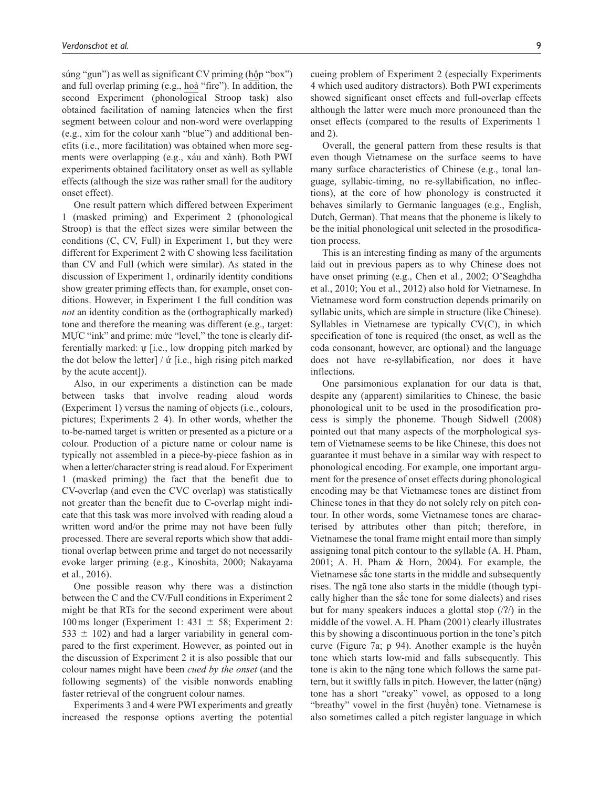súng "gun") as well as significant CV priming (hộp "box") and full overlap priming (e.g., hoả "fire"). In addition, the second Experiment (phonological Stroop task) also obtained facilitation of naming latencies when the first segment between colour and non-word were overlapping (e.g., xỉm for the colour xanh "blue") and additional benefits (i.e., more facilitation) was obtained when more segments were overlapping (e.g., xáu and xành). Both PWI experiments obtained facilitatory onset as well as syllable effects (although the size was rather small for the auditory onset effect).

One result pattern which differed between Experiment 1 (masked priming) and Experiment 2 (phonological Stroop) is that the effect sizes were similar between the conditions (C, CV, Full) in Experiment 1, but they were different for Experiment 2 with C showing less facilitation than CV and Full (which were similar). As stated in the discussion of Experiment 1, ordinarily identity conditions show greater priming effects than, for example, onset conditions. However, in Experiment 1 the full condition was *not* an identity condition as the (orthographically marked) tone and therefore the meaning was different (e.g., target: MUC "ink" and prime: mức "level," the tone is clearly differentially marked: ự [i.e., low dropping pitch marked by the dot below the letter] / ứ [i.e., high rising pitch marked by the acute accent]).

Also, in our experiments a distinction can be made between tasks that involve reading aloud words (Experiment 1) versus the naming of objects (i.e., colours, pictures; Experiments 2–4). In other words, whether the to-be-named target is written or presented as a picture or a colour. Production of a picture name or colour name is typically not assembled in a piece-by-piece fashion as in when a letter/character string is read aloud. For Experiment 1 (masked priming) the fact that the benefit due to CV-overlap (and even the CVC overlap) was statistically not greater than the benefit due to C-overlap might indicate that this task was more involved with reading aloud a written word and/or the prime may not have been fully processed. There are several reports which show that additional overlap between prime and target do not necessarily evoke larger priming (e.g., Kinoshita, 2000; Nakayama et al., 2016).

One possible reason why there was a distinction between the C and the CV/Full conditions in Experiment 2 might be that RTs for the second experiment were about 100 ms longer (Experiment 1: 431  $\pm$  58; Experiment 2: 533  $\pm$  102) and had a larger variability in general compared to the first experiment. However, as pointed out in the discussion of Experiment 2 it is also possible that our colour names might have been *cued by the onset* (and the following segments) of the visible nonwords enabling faster retrieval of the congruent colour names.

Experiments 3 and 4 were PWI experiments and greatly increased the response options averting the potential

cueing problem of Experiment 2 (especially Experiments 4 which used auditory distractors). Both PWI experiments showed significant onset effects and full-overlap effects although the latter were much more pronounced than the onset effects (compared to the results of Experiments 1 and 2).

Overall, the general pattern from these results is that even though Vietnamese on the surface seems to have many surface characteristics of Chinese (e.g., tonal language, syllabic-timing, no re-syllabification, no inflections), at the core of how phonology is constructed it behaves similarly to Germanic languages (e.g., English, Dutch, German). That means that the phoneme is likely to be the initial phonological unit selected in the prosodification process.

This is an interesting finding as many of the arguments laid out in previous papers as to why Chinese does not have onset priming (e.g., Chen et al., 2002; O'Seaghdha et al., 2010; You et al., 2012) also hold for Vietnamese. In Vietnamese word form construction depends primarily on syllabic units, which are simple in structure (like Chinese). Syllables in Vietnamese are typically CV(C), in which specification of tone is required (the onset, as well as the coda consonant, however, are optional) and the language does not have re-syllabification, nor does it have inflections.

One parsimonious explanation for our data is that, despite any (apparent) similarities to Chinese, the basic phonological unit to be used in the prosodification process is simply the phoneme. Though Sidwell (2008) pointed out that many aspects of the morphological system of Vietnamese seems to be like Chinese, this does not guarantee it must behave in a similar way with respect to phonological encoding. For example, one important argument for the presence of onset effects during phonological encoding may be that Vietnamese tones are distinct from Chinese tones in that they do not solely rely on pitch contour. In other words, some Vietnamese tones are characterised by attributes other than pitch; therefore, in Vietnamese the tonal frame might entail more than simply assigning tonal pitch contour to the syllable (A. H. Pham, 2001; A. H. Pham & Horn, 2004). For example, the Vietnamese sắc tone starts in the middle and subsequently rises. The ngã tone also starts in the middle (though typically higher than the sắc tone for some dialects) and rises but for many speakers induces a glottal stop  $(2)$  in the middle of the vowel. A. H. Pham (2001) clearly illustrates this by showing a discontinuous portion in the tone's pitch curve (Figure 7a; p 94). Another example is the huyền tone which starts low-mid and falls subsequently. This tone is akin to the nặng tone which follows the same pattern, but it swiftly falls in pitch. However, the latter (nặng) tone has a short "creaky" vowel, as opposed to a long "breathy" vowel in the first (huyền) tone. Vietnamese is also sometimes called a pitch register language in which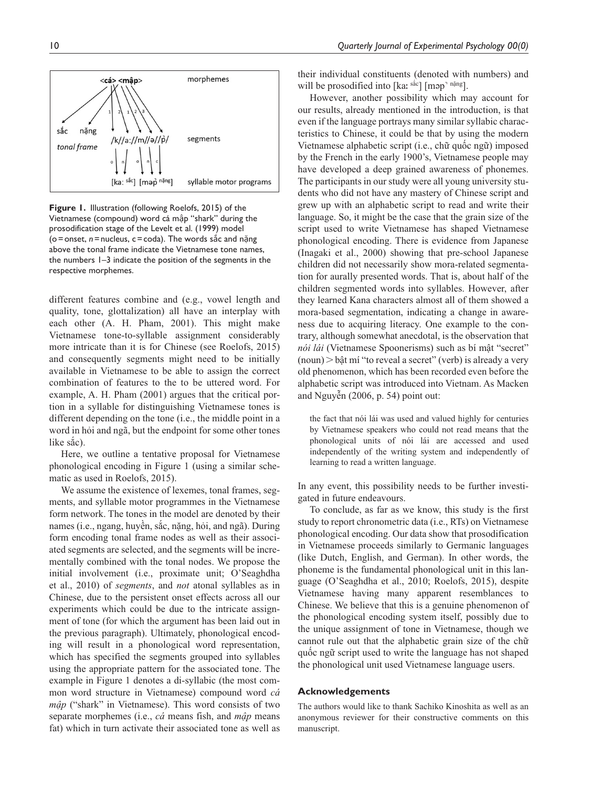

**Figure 1.** Illustration (following Roelofs, 2015) of the Vietnamese (compound) word cá mập "shark" during the prosodification stage of the Levelt et al. (1999) model (o=onset, *n*=nucleus, c=coda). The words sắc and nặng above the tonal frame indicate the Vietnamese tone names, the numbers 1–3 indicate the position of the segments in the respective morphemes.

different features combine and (e.g., vowel length and quality, tone, glottalization) all have an interplay with each other (A. H. Pham, 2001). This might make Vietnamese tone-to-syllable assignment considerably more intricate than it is for Chinese (see Roelofs, 2015) and consequently segments might need to be initially available in Vietnamese to be able to assign the correct combination of features to the to be uttered word. For example, A. H. Pham (2001) argues that the critical portion in a syllable for distinguishing Vietnamese tones is different depending on the tone (i.e., the middle point in a word in hỏi and ngã, but the endpoint for some other tones like sắc).

Here, we outline a tentative proposal for Vietnamese phonological encoding in Figure 1 (using a similar schematic as used in Roelofs, 2015).

We assume the existence of lexemes, tonal frames, segments, and syllable motor programmes in the Vietnamese form network. The tones in the model are denoted by their names (i.e., ngang, huyền, sắc, nặng, hỏi, and ngã). During form encoding tonal frame nodes as well as their associated segments are selected, and the segments will be incrementally combined with the tonal nodes. We propose the initial involvement (i.e., proximate unit; O'Seaghdha et al., 2010) of *segments*, and *not* atonal syllables as in Chinese, due to the persistent onset effects across all our experiments which could be due to the intricate assignment of tone (for which the argument has been laid out in the previous paragraph). Ultimately, phonological encoding will result in a phonological word representation, which has specified the segments grouped into syllables using the appropriate pattern for the associated tone. The example in Figure 1 denotes a di-syllabic (the most common word structure in Vietnamese) compound word *cá mập* ("shark" in Vietnamese). This word consists of two separate morphemes (i.e., *cá* means fish, and *mập* means fat) which in turn activate their associated tone as well as

their individual constituents (denoted with numbers) and will be prosodified into  $[ka: \frac{\text{sa}c}{\text{ma}}]$  [map<sup>-n $\text{āng}$ ].</sup>

However, another possibility which may account for our results, already mentioned in the introduction, is that even if the language portrays many similar syllabic characteristics to Chinese, it could be that by using the modern Vietnamese alphabetic script (i.e., chữ quốc ngữ) imposed by the French in the early 1900's, Vietnamese people may have developed a deep grained awareness of phonemes. The participants in our study were all young university students who did not have any mastery of Chinese script and grew up with an alphabetic script to read and write their language. So, it might be the case that the grain size of the script used to write Vietnamese has shaped Vietnamese phonological encoding. There is evidence from Japanese (Inagaki et al., 2000) showing that pre-school Japanese children did not necessarily show mora-related segmentation for aurally presented words. That is, about half of the children segmented words into syllables. However, after they learned Kana characters almost all of them showed a mora-based segmentation, indicating a change in awareness due to acquiring literacy. One example to the contrary, although somewhat anecdotal, is the observation that *nói lái* (Vietnamese Spoonerisms) such as bí mật "secret"  $(noun)$  > bật mí "to reveal a secret" (verb) is already a very old phenomenon, which has been recorded even before the alphabetic script was introduced into Vietnam. As Macken and Nguyễn (2006, p. 54) point out:

the fact that nói lái was used and valued highly for centuries by Vietnamese speakers who could not read means that the phonological units of nói lái are accessed and used independently of the writing system and independently of learning to read a written language.

In any event, this possibility needs to be further investigated in future endeavours.

To conclude, as far as we know, this study is the first study to report chronometric data (i.e., RTs) on Vietnamese phonological encoding. Our data show that prosodification in Vietnamese proceeds similarly to Germanic languages (like Dutch, English, and German). In other words, the phoneme is the fundamental phonological unit in this language (O'Seaghdha et al., 2010; Roelofs, 2015), despite Vietnamese having many apparent resemblances to Chinese. We believe that this is a genuine phenomenon of the phonological encoding system itself, possibly due to the unique assignment of tone in Vietnamese, though we cannot rule out that the alphabetic grain size of the chữ quốc ngữ script used to write the language has not shaped the phonological unit used Vietnamese language users.

#### **Acknowledgements**

The authors would like to thank Sachiko Kinoshita as well as an anonymous reviewer for their constructive comments on this manuscript.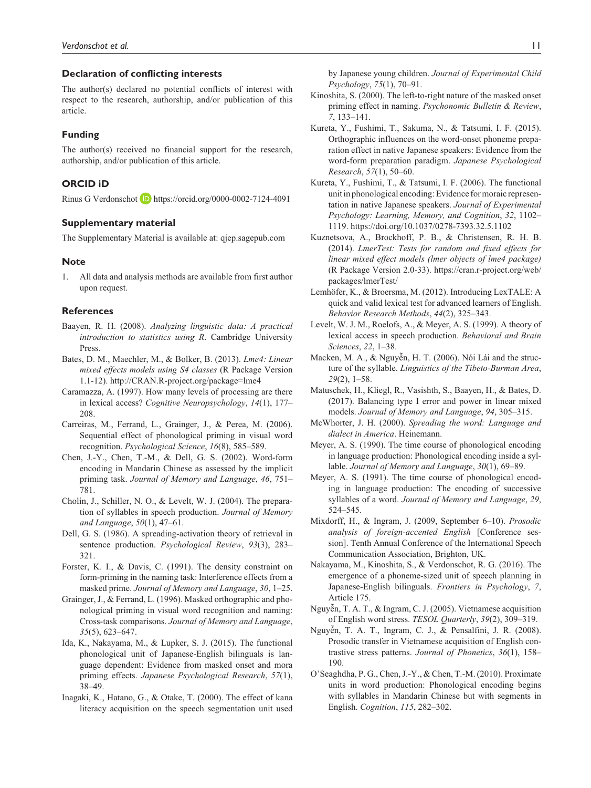## **Declaration of conflicting interests**

The author(s) declared no potential conflicts of interest with respect to the research, authorship, and/or publication of this article.

## **Funding**

The author(s) received no financial support for the research, authorship, and/or publication of this article.

## **ORCID iD**

Rinus G Verdonschot D <https://orcid.org/0000-0002-7124-4091>

# **Supplementary material**

The Supplementary Material is available at: qjep.sagepub.com

#### **Note**

1. All data and analysis methods are available from first author upon request.

#### **References**

- Baayen, R. H. (2008). *Analyzing linguistic data: A practical introduction to statistics using R*. Cambridge University Press.
- Bates, D. M., Maechler, M., & Bolker, B. (2013). *Lme4: Linear mixed effects models using S4 classes* (R Package Version 1.1-12).<http://CRAN.R-project.org/package=lme4>
- Caramazza, A. (1997). How many levels of processing are there in lexical access? *Cognitive Neuropsychology*, *14*(1), 177– 208.
- Carreiras, M., Ferrand, L., Grainger, J., & Perea, M. (2006). Sequential effect of phonological priming in visual word recognition. *Psychological Science*, *16*(8), 585–589.
- Chen, J.-Y., Chen, T.-M., & Dell, G. S. (2002). Word-form encoding in Mandarin Chinese as assessed by the implicit priming task. *Journal of Memory and Language*, *46*, 751– 781.
- Cholin, J., Schiller, N. O., & Levelt, W. J. (2004). The preparation of syllables in speech production. *Journal of Memory and Language*, *50*(1), 47–61.
- Dell, G. S. (1986). A spreading-activation theory of retrieval in sentence production. *Psychological Review*, *93*(3), 283– 321.
- Forster, K. I., & Davis, C. (1991). The density constraint on form-priming in the naming task: Interference effects from a masked prime. *Journal of Memory and Language*, *30*, 1–25.
- Grainger, J., & Ferrand, L. (1996). Masked orthographic and phonological priming in visual word recognition and naming: Cross-task comparisons. *Journal of Memory and Language*, *35*(5), 623–647.
- Ida, K., Nakayama, M., & Lupker, S. J. (2015). The functional phonological unit of Japanese-English bilinguals is language dependent: Evidence from masked onset and mora priming effects. *Japanese Psychological Research*, *57*(1), 38–49.
- Inagaki, K., Hatano, G., & Otake, T. (2000). The effect of kana literacy acquisition on the speech segmentation unit used

by Japanese young children. *Journal of Experimental Child Psychology*, *75*(1), 70–91.

- Kinoshita, S. (2000). The left-to-right nature of the masked onset priming effect in naming. *Psychonomic Bulletin & Review*, *7*, 133–141.
- Kureta, Y., Fushimi, T., Sakuma, N., & Tatsumi, I. F. (2015). Orthographic influences on the word-onset phoneme preparation effect in native Japanese speakers: Evidence from the word-form preparation paradigm. *Japanese Psychological Research*, *57*(1), 50–60.
- Kureta, Y., Fushimi, T., & Tatsumi, I. F. (2006). The functional unit in phonological encoding: Evidence for moraic representation in native Japanese speakers. *Journal of Experimental Psychology: Learning, Memory, and Cognition*, *32*, 1102– 1119. <https://doi.org/10.1037/0278-7393.32.5.1102>
- Kuznetsova, A., Brockhoff, P. B., & Christensen, R. H. B. (2014). *LmerTest: Tests for random and fixed effects for linear mixed effect models (lmer objects of lme4 package)* (R Package Version 2.0-33). [https://cran.r-project.org/web/](https://cran.r-project.org/web/packages/lmerTest/) [packages/lmerTest/](https://cran.r-project.org/web/packages/lmerTest/)
- Lemhöfer, K., & Broersma, M. (2012). Introducing LexTALE: A quick and valid lexical test for advanced learners of English. *Behavior Research Methods*, *44*(2), 325–343.
- Levelt, W. J. M., Roelofs, A., & Meyer, A. S. (1999). A theory of lexical access in speech production. *Behavioral and Brain Sciences*, *22*, 1–38.
- Macken, M. A., & Nguyễn, H. T. (2006). Nói Lái and the structure of the syllable. *Linguistics of the Tibeto-Burman Area*, *29*(2), 1–58.
- Matuschek, H., Kliegl, R., Vasishth, S., Baayen, H., & Bates, D. (2017). Balancing type I error and power in linear mixed models. *Journal of Memory and Language*, *94*, 305–315.
- McWhorter, J. H. (2000). *Spreading the word: Language and dialect in America*. Heinemann.
- Meyer, A. S. (1990). The time course of phonological encoding in language production: Phonological encoding inside a syllable. *Journal of Memory and Language*, *30*(1), 69–89.
- Meyer, A. S. (1991). The time course of phonological encoding in language production: The encoding of successive syllables of a word. *Journal of Memory and Language*, *29*, 524–545.
- Mixdorff, H., & Ingram, J. (2009, September 6–10). *Prosodic analysis of foreign-accented English* [Conference session]. Tenth Annual Conference of the International Speech Communication Association, Brighton, UK.
- Nakayama, M., Kinoshita, S., & Verdonschot, R. G. (2016). The emergence of a phoneme-sized unit of speech planning in Japanese-English bilinguals. *Frontiers in Psychology*, *7*, Article 175.
- Nguyễn, T. A. T., & Ingram, C. J. (2005). Vietnamese acquisition of English word stress. *TESOL Quarterly*, *39*(2), 309–319.
- Nguyễn, T. A. T., Ingram, C. J., & Pensalfini, J. R. (2008). Prosodic transfer in Vietnamese acquisition of English contrastive stress patterns. *Journal of Phonetics*, *36*(1), 158– 190.
- O'Seaghdha, P. G., Chen, J.-Y., & Chen, T.-M. (2010). Proximate units in word production: Phonological encoding begins with syllables in Mandarin Chinese but with segments in English. *Cognition*, *115*, 282–302.